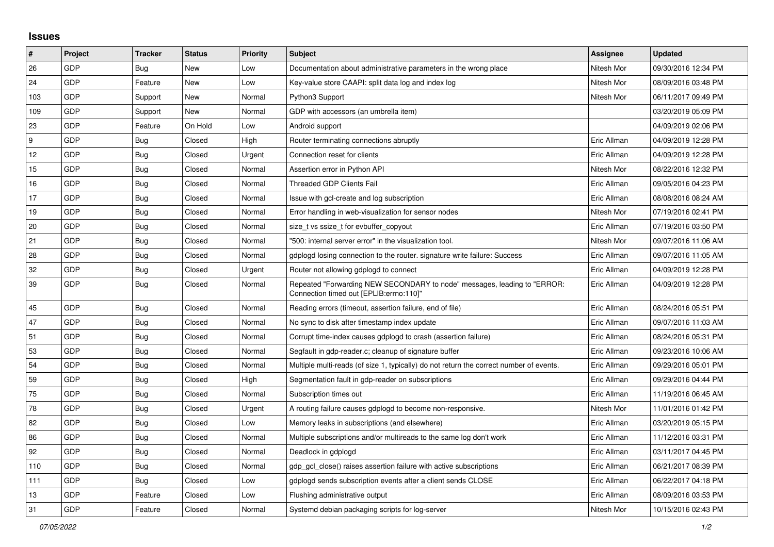## **Issues**

| #               | Project    | <b>Tracker</b> | <b>Status</b> | Priority | <b>Subject</b>                                                                                                      | <b>Assignee</b> | <b>Updated</b>      |
|-----------------|------------|----------------|---------------|----------|---------------------------------------------------------------------------------------------------------------------|-----------------|---------------------|
| 26              | GDP        | <b>Bug</b>     | New           | Low      | Documentation about administrative parameters in the wrong place                                                    | Nitesh Mor      | 09/30/2016 12:34 PM |
| 24              | GDP        | Feature        | <b>New</b>    | Low      | Key-value store CAAPI: split data log and index log                                                                 | Nitesh Mor      | 08/09/2016 03:48 PM |
| 103             | GDP        | Support        | New           | Normal   | Python3 Support                                                                                                     | Nitesh Mor      | 06/11/2017 09:49 PM |
| 109             | GDP        | Support        | New           | Normal   | GDP with accessors (an umbrella item)                                                                               |                 | 03/20/2019 05:09 PM |
| 23              | GDP        | Feature        | On Hold       | Low      | Android support                                                                                                     |                 | 04/09/2019 02:06 PM |
| <u>g</u>        | GDP        | Bug            | Closed        | High     | Router terminating connections abruptly                                                                             | Eric Allman     | 04/09/2019 12:28 PM |
| 12 <sub>2</sub> | GDP        | Bug            | Closed        | Urgent   | Connection reset for clients                                                                                        | Eric Allman     | 04/09/2019 12:28 PM |
| 15              | GDP        | <b>Bug</b>     | Closed        | Normal   | Assertion error in Python API                                                                                       | Nitesh Mor      | 08/22/2016 12:32 PM |
| 16              | GDP        | <b>Bug</b>     | Closed        | Normal   | <b>Threaded GDP Clients Fail</b>                                                                                    | Eric Allman     | 09/05/2016 04:23 PM |
| 17              | GDP        | <b>Bug</b>     | Closed        | Normal   | Issue with gcl-create and log subscription                                                                          | Eric Allman     | 08/08/2016 08:24 AM |
| 19              | GDP        | <b>Bug</b>     | Closed        | Normal   | Error handling in web-visualization for sensor nodes                                                                | Nitesh Mor      | 07/19/2016 02:41 PM |
| 20              | GDP        | <b>Bug</b>     | Closed        | Normal   | size t vs ssize t for evbuffer copyout                                                                              | Eric Allman     | 07/19/2016 03:50 PM |
| 21              | GDP        | Bug            | Closed        | Normal   | '500: internal server error" in the visualization tool.                                                             | Nitesh Mor      | 09/07/2016 11:06 AM |
| 28              | GDP        | Bug            | Closed        | Normal   | gdplogd losing connection to the router, signature write failure: Success                                           | Eric Allman     | 09/07/2016 11:05 AM |
| 32              | GDP        | <b>Bug</b>     | Closed        | Urgent   | Router not allowing gdplogd to connect                                                                              | Eric Allman     | 04/09/2019 12:28 PM |
| 39              | GDP        | Bug            | Closed        | Normal   | Repeated "Forwarding NEW SECONDARY to node" messages, leading to "ERROR:<br>Connection timed out [EPLIB:errno:110]" | Eric Allman     | 04/09/2019 12:28 PM |
| 45              | GDP        | Bug            | Closed        | Normal   | Reading errors (timeout, assertion failure, end of file)                                                            | Eric Allman     | 08/24/2016 05:51 PM |
| 47              | GDP        | Bug            | Closed        | Normal   | No sync to disk after timestamp index update                                                                        | Eric Allman     | 09/07/2016 11:03 AM |
| 51              | GDP        | <b>Bug</b>     | Closed        | Normal   | Corrupt time-index causes gdplogd to crash (assertion failure)                                                      | Eric Allman     | 08/24/2016 05:31 PM |
| 53              | GDP        | Bug            | Closed        | Normal   | Segfault in gdp-reader.c; cleanup of signature buffer                                                               | Eric Allman     | 09/23/2016 10:06 AM |
| 54              | GDP        | <b>Bug</b>     | Closed        | Normal   | Multiple multi-reads (of size 1, typically) do not return the correct number of events.                             | Eric Allman     | 09/29/2016 05:01 PM |
| 59              | GDP        | Bug            | Closed        | High     | Segmentation fault in gdp-reader on subscriptions                                                                   | Eric Allman     | 09/29/2016 04:44 PM |
| 75              | GDP        | Bug            | Closed        | Normal   | Subscription times out                                                                                              | Eric Allman     | 11/19/2016 06:45 AM |
| 78              | GDP        | Bug            | Closed        | Urgent   | A routing failure causes gdplogd to become non-responsive.                                                          | Nitesh Mor      | 11/01/2016 01:42 PM |
| 82              | GDP        | Bug            | Closed        | Low      | Memory leaks in subscriptions (and elsewhere)                                                                       | Eric Allman     | 03/20/2019 05:15 PM |
| 86              | GDP        | <b>Bug</b>     | Closed        | Normal   | Multiple subscriptions and/or multireads to the same log don't work                                                 | Eric Allman     | 11/12/2016 03:31 PM |
| 92              | GDP        | Bug            | Closed        | Normal   | Deadlock in gdplogd                                                                                                 | Eric Allman     | 03/11/2017 04:45 PM |
| 110             | GDP        | <b>Bug</b>     | Closed        | Normal   | gdp_gcl_close() raises assertion failure with active subscriptions                                                  | Eric Allman     | 06/21/2017 08:39 PM |
| 111             | <b>GDP</b> | Bug            | Closed        | Low      | gdplogd sends subscription events after a client sends CLOSE                                                        | Eric Allman     | 06/22/2017 04:18 PM |
| 13              | GDP        | Feature        | Closed        | Low      | Flushing administrative output                                                                                      | Eric Allman     | 08/09/2016 03:53 PM |
| 31              | GDP        | Feature        | Closed        | Normal   | Systemd debian packaging scripts for log-server                                                                     | Nitesh Mor      | 10/15/2016 02:43 PM |